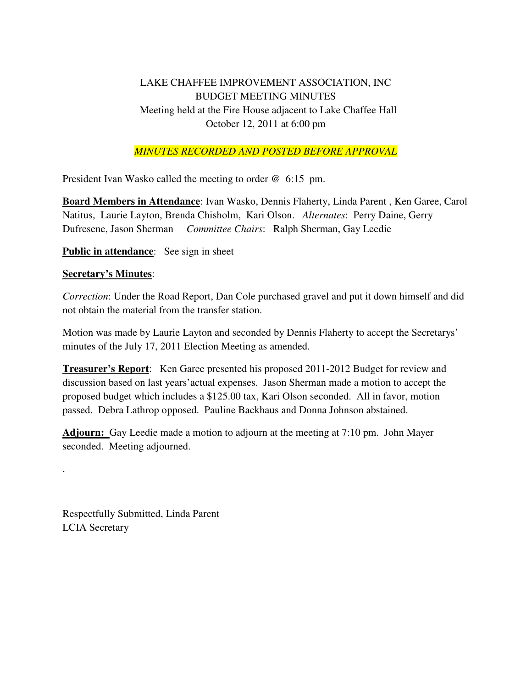## LAKE CHAFFEE IMPROVEMENT ASSOCIATION, INC BUDGET MEETING MINUTES Meeting held at the Fire House adjacent to Lake Chaffee Hall October 12, 2011 at 6:00 pm

## *MINUTES RECORDED AND POSTED BEFORE APPROVAL*

President Ivan Wasko called the meeting to order @ 6:15 pm.

**Board Members in Attendance**: Ivan Wasko, Dennis Flaherty, Linda Parent , Ken Garee, Carol Natitus, Laurie Layton, Brenda Chisholm, Kari Olson. *Alternates*: Perry Daine, Gerry Dufresene, Jason Sherman *Committee Chairs*: Ralph Sherman, Gay Leedie

**Public in attendance:** See sign in sheet

## **Secretary's Minutes**:

.

*Correction*: Under the Road Report, Dan Cole purchased gravel and put it down himself and did not obtain the material from the transfer station.

Motion was made by Laurie Layton and seconded by Dennis Flaherty to accept the Secretarys' minutes of the July 17, 2011 Election Meeting as amended.

**Treasurer's Report**: Ken Garee presented his proposed 2011-2012 Budget for review and discussion based on last years'actual expenses. Jason Sherman made a motion to accept the proposed budget which includes a \$125.00 tax, Kari Olson seconded. All in favor, motion passed. Debra Lathrop opposed. Pauline Backhaus and Donna Johnson abstained.

**Adjourn:** Gay Leedie made a motion to adjourn at the meeting at 7:10 pm. John Mayer seconded. Meeting adjourned.

Respectfully Submitted, Linda Parent LCIA Secretary